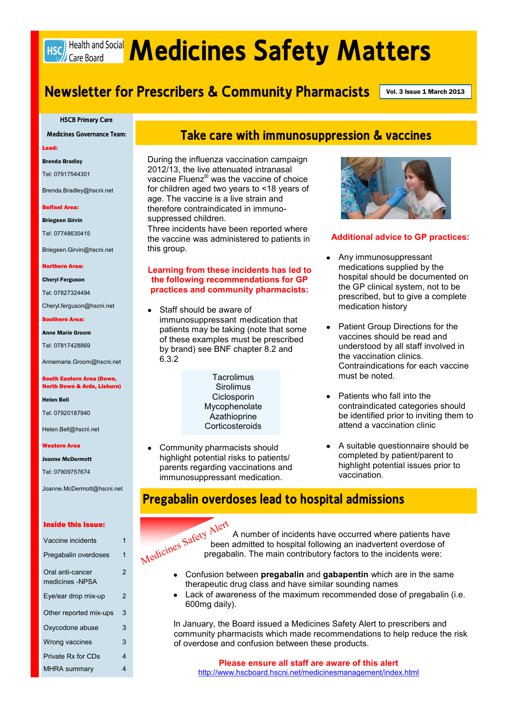# Hsc) Health and Social **Medicines Safety Matters**

# **Newsletter for Prescribers & Community Pharmacists** Vol. 3 Issue 1 March 2013

**HSCB Primary Care**

**Medicines Governance Team:**

Lead:

#### Brenda Bradley

Tel: 07917544301

Brenda.Bradley@hscni.net

#### Belfast Area:

Briegeen Girvin

Tel: 07748630415

Briegeen.Girvin@hscni.net

#### Northern Area:

Cheryl Ferguson

Tel: 07827324494

Cheryl.ferguson@hscni.net

Southern Area:

Anne Marie Groom

Tel: 07817428869

Annemarie.Groom@hscni.net

#### South Eastern Area (Down, North Down & Ards, Lisburn)

Helen Bell

Tel: 07920187940

Helen.Bell@hscni.net

#### Western Area

Joanne McDermott

Tel: 07909757674

Joanne.McDermott@hscni.net

#### Inside this issue:

| Vaccine incidents                   | 1 |
|-------------------------------------|---|
| Pregabalin overdoses                | 1 |
| Oral anti-cancer<br>medicines -NPSA | 2 |
| Eye/ear drop mix-up                 | 2 |
| Other reported mix-ups              | 3 |
| Oxycodone abuse                     | 3 |
| Wrong vaccines                      | 3 |
| Private Rx for CDs                  | 4 |
| <b>MHRA summary</b>                 | 4 |

## **Take care with immunosuppression & vaccines**

During the influenza vaccination campaign 2012/13, the live attenuated intranasal vaccine Fluenz® was the vaccine of choice for children aged two years to <18 years of age. The vaccine is a live strain and therefore contraindicated in immunosuppressed children.

Three incidents have been reported where the vaccine was administered to patients in this group.

#### **Learning from these incidents has led to the following recommendations for GP practices and community pharmacists:**

Staff should be aware of immunosuppressant medication that patients may be taking (note that some of these examples must be prescribed by brand) see BNF chapter 8.2 and 6.3.2

> **Sirolimus Ciclosporin Mycophenolate** Azathioprine **Corticosteroids**

Community pharmacists should highlight potential risks to patients/ parents regarding vaccinations and immunosuppressant medication.



#### **Additional advice to GP practices:**

- Any immunosuppressant medications supplied by the hospital should be documented on the GP clinical system, not to be prescribed, but to give a complete medication history
- Patient Group Directions for the  $\bullet$ vaccines should be read and understood by all staff involved in the vaccination clinics. Contraindications for each vaccine must be noted.
- Patients who fall into the contraindicated categories should be identified prior to inviting them to attend a vaccination clinic
- A suitable questionnaire should be completed by patient/parent to highlight potential issues prior to vaccination.

### **Pregabalin overdoses lead to hospital admissions**



A number of incidents have occurred where patients have been admitted to hospital following an inadvertent overdose of pregabalin. The main contributory factors to the incidents were:

- Confusion between **pregabalin** and **gabapentin** which are in the same  $\bullet$ therapeutic drug class and have similar sounding names
- Lack of awareness of the maximum recommended dose of pregabalin (i.e. 600mg daily).

In January, the Board issued a Medicines Safety Alert to prescribers and community pharmacists which made recommendations to help reduce the risk of overdose and confusion between these products.

**Please ensure all staff are aware of this alert** <http://www.hscboard.hscni.net/medicinesmanagement/index.html>

# **Tacrolimus**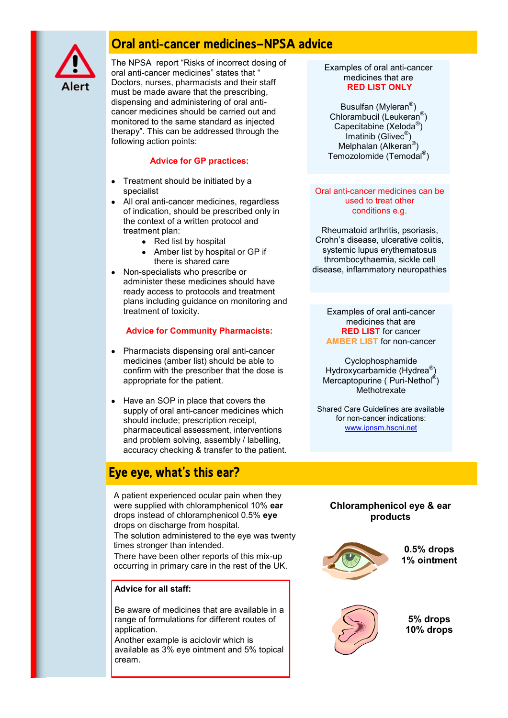

# **Oral anti-cancer medicines—NPSA advice**

The NPSA report "Risks of incorrect dosing of oral anti-cancer medicines" states that " Doctors, nurses, pharmacists and their staff must be made aware that the prescribing, dispensing and administering of oral anticancer medicines should be carried out and monitored to the same standard as injected therapy". This can be addressed through the following action points:

#### **Advice for GP practices:**

- Treatment should be initiated by a specialist
- All oral anti-cancer medicines, regardless of indication, should be prescribed only in the context of a written protocol and treatment plan:
	- $\bullet$  Red list by hospital
	- Amber list by hospital or GP if there is shared care
- Non-specialists who prescribe or administer these medicines should have ready access to protocols and treatment plans including guidance on monitoring and treatment of toxicity.

#### **Advice for Community Pharmacists:**

- Pharmacists dispensing oral anti-cancer medicines (amber list) should be able to confirm with the prescriber that the dose is appropriate for the patient.
- Have an SOP in place that covers the supply of oral anti-cancer medicines which should include; prescription receipt, pharmaceutical assessment, interventions and problem solving, assembly / labelling, accuracy checking & transfer to the patient.

# **Eye eye, what's this ear?**

A patient experienced ocular pain when they were supplied with chloramphenicol 10% **ear**  drops instead of chloramphenicol 0.5% **eye** drops on discharge from hospital. The solution administered to the eye was twenty

times stronger than intended. There have been other reports of this mix-up

occurring in primary care in the rest of the UK.

#### **Advice for all staff:**

Be aware of medicines that are available in a range of formulations for different routes of application.

Another example is aciclovir which is available as 3% eye ointment and 5% topical cream.

Examples of oral anti-cancer medicines that are **RED LIST ONLY**

Busulfan (Myleran<sup>®</sup>) Chlorambucil (Leukeran<sup>®</sup>) Capecitabine (Xeloda<sup>®</sup>) Imatinib (Glivec® ) Melphalan (Alkeran<sup>®</sup>) Temozolomide (Temodal® )

#### Oral anti-cancer medicines can be used to treat other conditions e.g.

Rheumatoid arthritis, psoriasis, Crohn"s disease, ulcerative colitis, systemic lupus erythematosus thrombocythaemia, sickle cell disease, inflammatory neuropathies

Examples of oral anti-cancer medicines that are **RED LIST** for cancer **AMBER LIST** for non-cancer

Cyclophosphamide Hydroxycarbamide (Hydrea®) Mercaptopurine (Puri-Nethol®) **Methotrexate** 

Shared Care Guidelines are available for non-cancer indications: [ww](http://www.ipnsm.hscni.net/library/AtoZSCGs.html#TopOfPage)w.ipnsm.hscni.net

#### **Chloramphenicol eye & ear products**



**0.5% drops 1% ointment**



**5% drops 10% drops**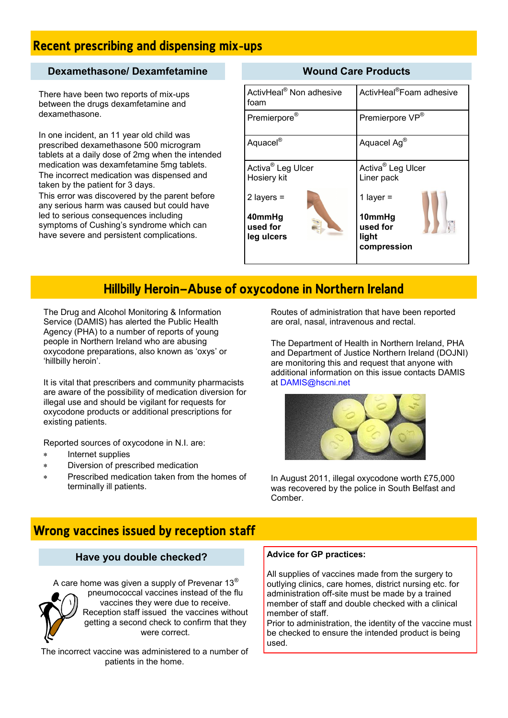# **Recent prescribing and dispensing mix-ups**

#### **Dexamethasone/ Dexamfetamine**

There have been two reports of mix-ups between the drugs dexamfetamine and dexamethasone.

In one incident, an 11 year old child was prescribed dexamethasone 500 microgram tablets at a daily dose of 2mg when the intended medication was dexamfetamine 5mg tablets. The incorrect medication was dispensed and taken by the patient for 3 days. This error was discovered by the parent before any serious harm was caused but could have led to serious consequences including symptoms of Cushing's syndrome which can have severe and persistent complications.

#### **Wound Care Products**

| ActivHeal <sup>®</sup> Non adhesive<br>foam  | ActivHeal <sup>®</sup> Foam adhesive                        |
|----------------------------------------------|-------------------------------------------------------------|
| Premierpore®                                 | Premierpore VP®                                             |
| Aquacel®                                     | Aquacel Ag®                                                 |
| Activa <sup>®</sup> Leg Ulcer<br>Hosiery kit | Activa <sup>®</sup> Leg Ulcer<br>Liner pack                 |
| 2 layers $=$                                 | 1 layer $=$                                                 |
| 40mmHg<br>used for<br>leg ulcers             | 10mmHg<br>$\frac{1}{2}$<br>used for<br>light<br>compression |

# **Hillbilly Heroin—Abuse of oxycodone in Northern Ireland**

The Drug and Alcohol Monitoring & Information Service (DAMIS) has alerted the Public Health Agency (PHA) to a number of reports of young people in Northern Ireland who are abusing oxycodone preparations, also known as "oxys" or "hillbilly heroin".

It is vital that prescribers and community pharmacists are aware of the possibility of medication diversion for illegal use and should be vigilant for requests for oxycodone products or additional prescriptions for existing patients.

Reported sources of oxycodone in N.I. are:

- Internet supplies
- Diversion of prescribed medication  $\ast$
- Prescribed medication taken from the homes of terminally ill patients.

Routes of administration that have been reported are oral, nasal, intravenous and rectal.

The Department of Health in Northern Ireland, PHA and Department of Justice Northern Ireland (DOJNI) are monitoring this and request that anyone with additional information on this issue contacts DAMIS at DAMIS@hscni.net



In August 2011, illegal oxycodone worth £75,000 was recovered by the police in South Belfast and Comber.

# **Wrong vaccines issued by reception staff**

#### **Have you double checked?**

A care home was given a supply of Prevenar 13 $^{\circ}$ 



pneumococcal vaccines instead of the flu vaccines they were due to receive. Reception staff issued the vaccines without getting a second check to confirm that they were correct.

The incorrect vaccine was administered to a number of patients in the home.

#### **Advice for GP practices:**

All supplies of vaccines made from the surgery to outlying clinics, care homes, district nursing etc. for administration off-site must be made by a trained member of staff and double checked with a clinical member of staff.

Prior to administration, the identity of the vaccine must be checked to ensure the intended product is being used.